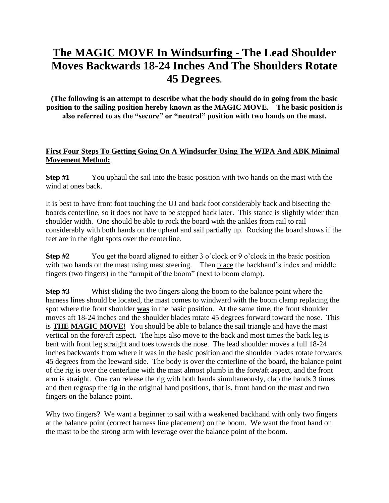## **The MAGIC MOVE In Windsurfing - The Lead Shoulder Moves Backwards 18-24 Inches And The Shoulders Rotate 45 Degrees.**

**(The following is an attempt to describe what the body should do in going from the basic position to the sailing position hereby known as the MAGIC MOVE. The basic position is also referred to as the "secure" or "neutral" position with two hands on the mast.** 

## **First Four Steps To Getting Going On A Windsurfer Using The WIPA And ABK Minimal Movement Method:**

**Step #1** You uphaul the sail into the basic position with two hands on the mast with the wind at ones back.

It is best to have front foot touching the UJ and back foot considerably back and bisecting the boards centerline, so it does not have to be stepped back later. This stance is slightly wider than shoulder width. One should be able to rock the board with the ankles from rail to rail considerably with both hands on the uphaul and sail partially up. Rocking the board shows if the feet are in the right spots over the centerline.

**Step #2** You get the board aligned to either 3 o'clock or 9 o'clock in the basic position with two hands on the mast using mast steering. Then place the backhand's index and middle fingers (two fingers) in the "armpit of the boom" (next to boom clamp).

**Step #3** Whist sliding the two fingers along the boom to the balance point where the harness lines should be located, the mast comes to windward with the boom clamp replacing the spot where the front shoulder **was** in the basic position. At the same time, the front shoulder moves aft 18-24 inches and the shoulder blades rotate 45 degrees forward toward the nose. This is **THE MAGIC MOVE!** You should be able to balance the sail triangle and have the mast vertical on the fore/aft aspect. The hips also move to the back and most times the back leg is bent with front leg straight and toes towards the nose. The lead shoulder moves a full 18-24 inches backwards from where it was in the basic position and the shoulder blades rotate forwards 45 degrees from the leeward side. The body is over the centerline of the board, the balance point of the rig is over the centerline with the mast almost plumb in the fore/aft aspect, and the front arm is straight. One can release the rig with both hands simultaneously, clap the hands 3 times and then regrasp the rig in the original hand positions, that is, front hand on the mast and two fingers on the balance point.

Why two fingers? We want a beginner to sail with a weakened backhand with only two fingers at the balance point (correct harness line placement) on the boom. We want the front hand on the mast to be the strong arm with leverage over the balance point of the boom.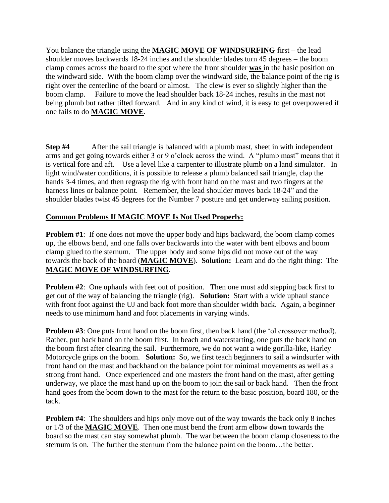You balance the triangle using the **MAGIC MOVE OF WINDSURFING** first – the lead shoulder moves backwards 18-24 inches and the shoulder blades turn 45 degrees – the boom clamp comes across the board to the spot where the front shoulder **was** in the basic position on the windward side. With the boom clamp over the windward side, the balance point of the rig is right over the centerline of the board or almost. The clew is ever so slightly higher than the boom clamp. Failure to move the lead shoulder back 18-24 inches, results in the mast not being plumb but rather tilted forward. And in any kind of wind, it is easy to get overpowered if one fails to do **MAGIC MOVE**.

**Step #4** After the sail triangle is balanced with a plumb mast, sheet in with independent arms and get going towards either 3 or 9 o'clock across the wind. A "plumb mast" means that it is vertical fore and aft. Use a level like a carpenter to illustrate plumb on a land simulator. In light wind/water conditions, it is possible to release a plumb balanced sail triangle, clap the hands 3-4 times, and then regrasp the rig with front hand on the mast and two fingers at the harness lines or balance point. Remember, the lead shoulder moves back 18-24" and the shoulder blades twist 45 degrees for the Number 7 posture and get underway sailing position.

## **Common Problems If MAGIC MOVE Is Not Used Properly:**

**Problem #1**: If one does not move the upper body and hips backward, the boom clamp comes up, the elbows bend, and one falls over backwards into the water with bent elbows and boom clamp glued to the sternum. The upper body and some hips did not move out of the way towards the back of the board (**MAGIC MOVE**). **Solution:** Learn and do the right thing: The **MAGIC MOVE OF WINDSURFING**.

**Problem #2:** One uphauls with feet out of position. Then one must add stepping back first to get out of the way of balancing the triangle (rig). **Solution:** Start with a wide uphaul stance with front foot against the UJ and back foot more than shoulder width back. Again, a beginner needs to use minimum hand and foot placements in varying winds.

**Problem #3**: One puts front hand on the boom first, then back hand (the 'ol crossover method). Rather, put back hand on the boom first. In beach and waterstarting, one puts the back hand on the boom first after clearing the sail. Furthermore, we do not want a wide gorilla-like, Harley Motorcycle grips on the boom. **Solution:** So, we first teach beginners to sail a windsurfer with front hand on the mast and backhand on the balance point for minimal movements as well as a strong front hand. Once experienced and one masters the front hand on the mast, after getting underway, we place the mast hand up on the boom to join the sail or back hand. Then the front hand goes from the boom down to the mast for the return to the basic position, board 180, or the tack.

**Problem #4:** The shoulders and hips only move out of the way towards the back only 8 inches or 1/3 of the **MAGIC MOVE**. Then one must bend the front arm elbow down towards the board so the mast can stay somewhat plumb. The war between the boom clamp closeness to the sternum is on. The further the sternum from the balance point on the boom…the better.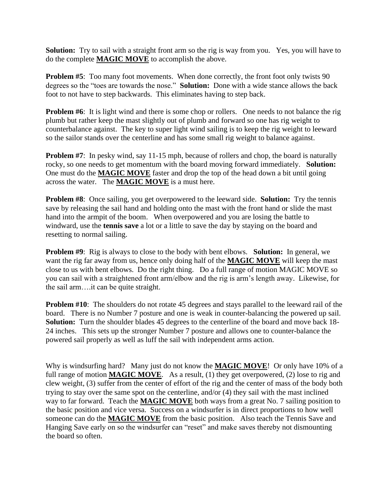**Solution:** Try to sail with a straight front arm so the rig is way from you. Yes, you will have to do the complete **MAGIC MOVE** to accomplish the above.

**Problem #5**: Too many foot movements. When done correctly, the front foot only twists 90 degrees so the "toes are towards the nose." **Solution:** Done with a wide stance allows the back foot to not have to step backwards. This eliminates having to step back.

**Problem** #6: It is light wind and there is some chop or rollers. One needs to not balance the rig plumb but rather keep the mast slightly out of plumb and forward so one has rig weight to counterbalance against. The key to super light wind sailing is to keep the rig weight to leeward so the sailor stands over the centerline and has some small rig weight to balance against.

**Problem** #7: In pesky wind, say 11-15 mph, because of rollers and chop, the board is naturally rocky, so one needs to get momentum with the board moving forward immediately. **Solution:** One must do the **MAGIC MOVE** faster and drop the top of the head down a bit until going across the water. The **MAGIC MOVE** is a must here.

**Problem #8**: Once sailing, you get overpowered to the leeward side. **Solution:** Try the tennis save by releasing the sail hand and holding onto the mast with the front hand or slide the mast hand into the armpit of the boom. When overpowered and you are losing the battle to windward, use the **tennis save** a lot or a little to save the day by staying on the board and resetting to normal sailing.

**Problem #9**: Rig is always to close to the body with bent elbows. **Solution:** In general, we want the rig far away from us, hence only doing half of the **MAGIC MOVE** will keep the mast close to us with bent elbows. Do the right thing. Do a full range of motion MAGIC MOVE so you can sail with a straightened front arm/elbow and the rig is arm's length away. Likewise, for the sail arm….it can be quite straight.

**Problem #10:** The shoulders do not rotate 45 degrees and stays parallel to the leeward rail of the board. There is no Number 7 posture and one is weak in counter-balancing the powered up sail. **Solution:** Turn the shoulder blades 45 degrees to the centerline of the board and move back 18- 24 inches. This sets up the stronger Number 7 posture and allows one to counter-balance the powered sail properly as well as luff the sail with independent arms action.

Why is windsurfing hard? Many just do not know the **MAGIC MOVE**! Or only have 10% of a full range of motion **MAGIC MOVE**. As a result, (1) they get overpowered, (2) lose to rig and clew weight, (3) suffer from the center of effort of the rig and the center of mass of the body both trying to stay over the same spot on the centerline, and/or (4) they sail with the mast inclined way to far forward. Teach the **MAGIC MOVE** both ways from a great No. 7 sailing position to the basic position and vice versa. Success on a windsurfer is in direct proportions to how well someone can do the **MAGIC MOVE** from the basic position. Also teach the Tennis Save and Hanging Save early on so the windsurfer can "reset" and make saves thereby not dismounting the board so often.